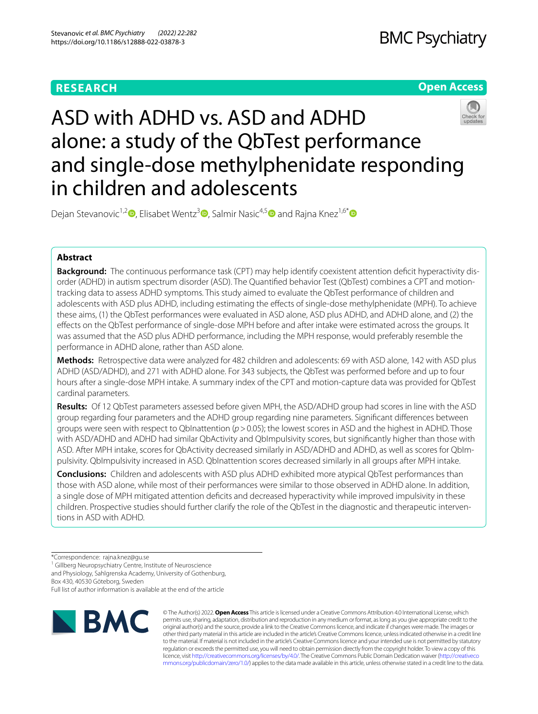# **RESEARCH**

# **Open Access**



# ASD with ADHD vs. ASD and ADHD alone: a study of the QbTest performance and single-dose methylphenidate responding in children and adolescents

Dejan Stevanovic<sup>1[,](http://orcid.org/0000-0001-8236-5246)2</sup><sup>0</sup>, Elisabet Wentz<sup>[3](http://orcid.org/0000-0002-1264-6517)</sup><sup>0</sup>, Salmir Nasic<sup>4,[5](http://orcid.org/0000-0003-0437-3958)</sup><sup>0</sup> and Rajna Knez<sup>1,6[\\*](http://orcid.org/0000-0003-1278-4554)</sup><sup>0</sup>

# **Abstract**

**Background:** The continuous performance task (CPT) may help identify coexistent attention defcit hyperactivity disorder (ADHD) in autism spectrum disorder (ASD). The Quantifed behavior Test (QbTest) combines a CPT and motiontracking data to assess ADHD symptoms. This study aimed to evaluate the QbTest performance of children and adolescents with ASD plus ADHD, including estimating the efects of single-dose methylphenidate (MPH). To achieve these aims, (1) the QbTest performances were evaluated in ASD alone, ASD plus ADHD, and ADHD alone, and (2) the efects on the QbTest performance of single-dose MPH before and after intake were estimated across the groups. It was assumed that the ASD plus ADHD performance, including the MPH response, would preferably resemble the performance in ADHD alone, rather than ASD alone.

**Methods:** Retrospective data were analyzed for 482 children and adolescents: 69 with ASD alone, 142 with ASD plus ADHD (ASD/ADHD), and 271 with ADHD alone. For 343 subjects, the QbTest was performed before and up to four hours after a single-dose MPH intake. A summary index of the CPT and motion-capture data was provided for QbTest cardinal parameters.

**Results:** Of 12 QbTest parameters assessed before given MPH, the ASD/ADHD group had scores in line with the ASD group regarding four parameters and the ADHD group regarding nine parameters. Signifcant diferences between groups were seen with respect to QbInattention ( $p > 0.05$ ); the lowest scores in ASD and the highest in ADHD. Those with ASD/ADHD and ADHD had similar QbActivity and QbImpulsivity scores, but signifcantly higher than those with ASD. After MPH intake, scores for QbActivity decreased similarly in ASD/ADHD and ADHD, as well as scores for QbImpulsivity. QbImpulsivity increased in ASD. QbInattention scores decreased similarly in all groups after MPH intake.

**Conclusions:** Children and adolescents with ASD plus ADHD exhibited more atypical QbTest performances than those with ASD alone, while most of their performances were similar to those observed in ADHD alone. In addition, a single dose of MPH mitigated attention deficits and decreased hyperactivity while improved impulsivity in these children. Prospective studies should further clarify the role of the QbTest in the diagnostic and therapeutic interventions in ASD with ADHD.

<sup>1</sup> Gillberg Neuropsychiatry Centre, Institute of Neuroscience

and Physiology, Sahlgrenska Academy, University of Gothenburg,

Box 430, 40530 Göteborg, Sweden

Full list of author information is available at the end of the article



© The Author(s) 2022. **Open Access** This article is licensed under a Creative Commons Attribution 4.0 International License, which permits use, sharing, adaptation, distribution and reproduction in any medium or format, as long as you give appropriate credit to the original author(s) and the source, provide a link to the Creative Commons licence, and indicate if changes were made. The images or other third party material in this article are included in the article's Creative Commons licence, unless indicated otherwise in a credit line to the material. If material is not included in the article's Creative Commons licence and your intended use is not permitted by statutory regulation or exceeds the permitted use, you will need to obtain permission directly from the copyright holder. To view a copy of this licence, visit [http://creativecommons.org/licenses/by/4.0/.](http://creativecommons.org/licenses/by/4.0/) The Creative Commons Public Domain Dedication waiver ([http://creativeco](http://creativecommons.org/publicdomain/zero/1.0/) [mmons.org/publicdomain/zero/1.0/](http://creativecommons.org/publicdomain/zero/1.0/)) applies to the data made available in this article, unless otherwise stated in a credit line to the data.

<sup>\*</sup>Correspondence: rajna.knez@gu.se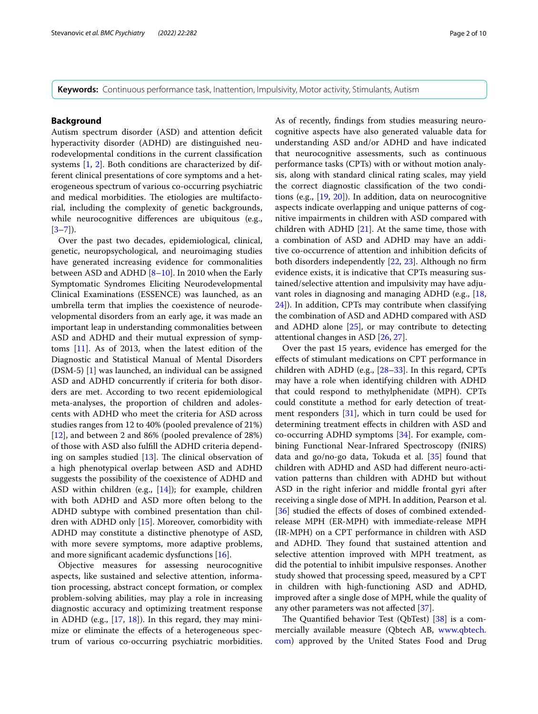**Keywords:** Continuous performance task, Inattention, Impulsivity, Motor activity, Stimulants, Autism

# **Background**

Autism spectrum disorder (ASD) and attention deficit hyperactivity disorder (ADHD) are distinguished neurodevelopmental conditions in the current classifcation systems [\[1,](#page-7-0) [2](#page-8-0)]. Both conditions are characterized by different clinical presentations of core symptoms and a heterogeneous spectrum of various co-occurring psychiatric and medical morbidities. The etiologies are multifactorial, including the complexity of genetic backgrounds, while neurocognitive diferences are ubiquitous (e.g.,  $[3-7]$  $[3-7]$ ).

Over the past two decades, epidemiological, clinical, genetic, neuropsychological, and neuroimaging studies have generated increasing evidence for commonalities between ASD and ADHD [[8](#page-8-3)[–10](#page-8-4)]. In 2010 when the Early Symptomatic Syndromes Eliciting Neurodevelopmental Clinical Examinations (ESSENCE) was launched, as an umbrella term that implies the coexistence of neurodevelopmental disorders from an early age, it was made an important leap in understanding commonalities between ASD and ADHD and their mutual expression of symptoms [[11\]](#page-8-5). As of 2013, when the latest edition of the Diagnostic and Statistical Manual of Mental Disorders (DSM-5) [[1\]](#page-7-0) was launched, an individual can be assigned ASD and ADHD concurrently if criteria for both disorders are met. According to two recent epidemiological meta-analyses, the proportion of children and adolescents with ADHD who meet the criteria for ASD across studies ranges from 12 to 40% (pooled prevalence of 21%) [[12\]](#page-8-6), and between 2 and 86% (pooled prevalence of 28%) of those with ASD also fulfll the ADHD criteria depending on samples studied  $[13]$ . The clinical observation of a high phenotypical overlap between ASD and ADHD suggests the possibility of the coexistence of ADHD and ASD within children (e.g.,  $[14]$  $[14]$  $[14]$ ); for example, children with both ADHD and ASD more often belong to the ADHD subtype with combined presentation than children with ADHD only [[15\]](#page-8-9). Moreover, comorbidity with ADHD may constitute a distinctive phenotype of ASD, with more severe symptoms, more adaptive problems, and more signifcant academic dysfunctions [\[16](#page-8-10)].

Objective measures for assessing neurocognitive aspects, like sustained and selective attention, information processing, abstract concept formation, or complex problem-solving abilities, may play a role in increasing diagnostic accuracy and optimizing treatment response in ADHD (e.g., [\[17](#page-8-11), [18\]](#page-8-12)). In this regard, they may minimize or eliminate the efects of a heterogeneous spectrum of various co-occurring psychiatric morbidities. As of recently, fndings from studies measuring neurocognitive aspects have also generated valuable data for understanding ASD and/or ADHD and have indicated that neurocognitive assessments, such as continuous performance tasks (CPTs) with or without motion analysis, along with standard clinical rating scales, may yield the correct diagnostic classifcation of the two conditions (e.g., [[19,](#page-8-13) [20\]](#page-8-14)). In addition, data on neurocognitive aspects indicate overlapping and unique patterns of cognitive impairments in children with ASD compared with children with ADHD [[21\]](#page-8-15). At the same time, those with a combination of ASD and ADHD may have an additive co-occurrence of attention and inhibition defcits of both disorders independently [\[22](#page-8-16), [23](#page-8-17)]. Although no frm evidence exists, it is indicative that CPTs measuring sustained/selective attention and impulsivity may have adjuvant roles in diagnosing and managing ADHD (e.g., [[18](#page-8-12), [24\]](#page-8-18)). In addition, CPTs may contribute when classifying the combination of ASD and ADHD compared with ASD

and ADHD alone  $[25]$  $[25]$ , or may contribute to detecting

attentional changes in ASD [\[26](#page-8-20), [27\]](#page-8-21). Over the past 15 years, evidence has emerged for the efects of stimulant medications on CPT performance in children with ADHD (e.g., [[28](#page-8-22)[–33](#page-8-23)]. In this regard, CPTs may have a role when identifying children with ADHD that could respond to methylphenidate (MPH). CPTs could constitute a method for early detection of treatment responders [\[31](#page-8-24)], which in turn could be used for determining treatment efects in children with ASD and co-occurring ADHD symptoms [\[34\]](#page-8-25). For example, combining Functional Near-Infrared Spectroscopy (fNIRS) data and go/no-go data, Tokuda et al. [\[35](#page-8-26)] found that children with ADHD and ASD had diferent neuro-activation patterns than children with ADHD but without ASD in the right inferior and middle frontal gyri after receiving a single dose of MPH. In addition, Pearson et al. [[36\]](#page-8-27) studied the effects of doses of combined extendedrelease MPH (ER-MPH) with immediate-release MPH (IR-MPH) on a CPT performance in children with ASD and ADHD. They found that sustained attention and selective attention improved with MPH treatment, as did the potential to inhibit impulsive responses. Another study showed that processing speed, measured by a CPT in children with high-functioning ASD and ADHD, improved after a single dose of MPH, while the quality of any other parameters was not afected [\[37](#page-8-28)].

The Quantified behavior Test (QbTest) [\[38](#page-8-29)] is a commercially available measure (Qbtech AB, [www.qbtech.](http://www.qbtech.com) [com](http://www.qbtech.com)) approved by the United States Food and Drug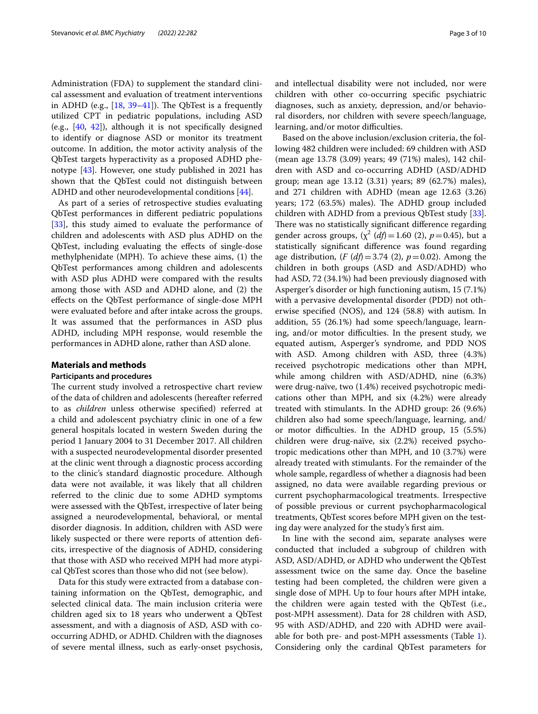Administration (FDA) to supplement the standard clinical assessment and evaluation of treatment interventions in ADHD (e.g.,  $[18, 39-41]$  $[18, 39-41]$  $[18, 39-41]$  $[18, 39-41]$ ). The QbTest is a frequently utilized CPT in pediatric populations, including ASD (e.g., [[40,](#page-8-31) [42](#page-9-1)]), although it is not specifcally designed to identify or diagnose ASD or monitor its treatment outcome. In addition, the motor activity analysis of the QbTest targets hyperactivity as a proposed ADHD phenotype [[43\]](#page-9-2). However, one study published in 2021 has shown that the QbTest could not distinguish between ADHD and other neurodevelopmental conditions [\[44](#page-9-3)].

As part of a series of retrospective studies evaluating QbTest performances in diferent pediatric populations [[33\]](#page-8-23), this study aimed to evaluate the performance of children and adolescents with ASD plus ADHD on the QbTest, including evaluating the efects of single-dose methylphenidate (MPH). To achieve these aims, (1) the QbTest performances among children and adolescents with ASD plus ADHD were compared with the results among those with ASD and ADHD alone, and (2) the efects on the QbTest performance of single-dose MPH were evaluated before and after intake across the groups. It was assumed that the performances in ASD plus ADHD, including MPH response, would resemble the performances in ADHD alone, rather than ASD alone.

## **Materials and methods**

#### **Participants and procedures**

The current study involved a retrospective chart review of the data of children and adolescents (hereafter referred to as *children* unless otherwise specifed) referred at a child and adolescent psychiatry clinic in one of a few general hospitals located in western Sweden during the period 1 January 2004 to 31 December 2017. All children with a suspected neurodevelopmental disorder presented at the clinic went through a diagnostic process according to the clinic's standard diagnostic procedure. Although data were not available, it was likely that all children referred to the clinic due to some ADHD symptoms were assessed with the QbTest, irrespective of later being assigned a neurodevelopmental, behavioral, or mental disorder diagnosis. In addition, children with ASD were likely suspected or there were reports of attention defcits, irrespective of the diagnosis of ADHD, considering that those with ASD who received MPH had more atypical QbTest scores than those who did not (see below).

Data for this study were extracted from a database containing information on the QbTest, demographic, and selected clinical data. The main inclusion criteria were children aged six to 18 years who underwent a QbTest assessment, and with a diagnosis of ASD, ASD with cooccurring ADHD, or ADHD. Children with the diagnoses of severe mental illness, such as early-onset psychosis,

and intellectual disability were not included, nor were children with other co-occurring specifc psychiatric diagnoses, such as anxiety, depression, and/or behavioral disorders, nor children with severe speech/language, learning, and/or motor difficulties.

Based on the above inclusion/exclusion criteria, the following 482 children were included: 69 children with ASD (mean age 13.78 (3.09) years; 49 (71%) males), 142 children with ASD and co-occurring ADHD (ASD/ADHD group; mean age 13.12 (3.31) years; 89 (62.7%) males), and 271 children with ADHD (mean age 12.63 (3.26) years; 172 (63.5%) males). The ADHD group included children with ADHD from a previous QbTest study [\[33](#page-8-23)]. There was no statistically significant difference regarding gender across groups,  $(\chi^2 \, (df) = 1.60 \, (2), \, p = 0.45)$ , but a statistically signifcant diference was found regarding age distribution,  $(F(df)=3.74$  (2),  $p=0.02)$ . Among the children in both groups (ASD and ASD/ADHD) who had ASD, 72 (34.1%) had been previously diagnosed with Asperger's disorder or high functioning autism, 15 (7.1%) with a pervasive developmental disorder (PDD) not otherwise specifed (NOS), and 124 (58.8) with autism. In addition, 55 (26.1%) had some speech/language, learning, and/or motor difficulties. In the present study, we equated autism, Asperger's syndrome, and PDD NOS with ASD. Among children with ASD, three (4.3%) received psychotropic medications other than MPH, while among children with ASD/ADHD, nine (6.3%) were drug-naïve, two (1.4%) received psychotropic medications other than MPH, and six (4.2%) were already treated with stimulants. In the ADHD group: 26 (9.6%) children also had some speech/language, learning, and/ or motor difficulties. In the ADHD group, 15 (5.5%) children were drug-naïve, six (2.2%) received psychotropic medications other than MPH, and 10 (3.7%) were already treated with stimulants. For the remainder of the whole sample, regardless of whether a diagnosis had been assigned, no data were available regarding previous or current psychopharmacological treatments. Irrespective of possible previous or current psychopharmacological treatments, QbTest scores before MPH given on the testing day were analyzed for the study's frst aim.

In line with the second aim, separate analyses were conducted that included a subgroup of children with ASD, ASD/ADHD, or ADHD who underwent the QbTest assessment twice on the same day. Once the baseline testing had been completed, the children were given a single dose of MPH. Up to four hours after MPH intake, the children were again tested with the QbTest (i.e., post-MPH assessment). Data for 28 children with ASD, 95 with ASD/ADHD, and 220 with ADHD were available for both pre- and post-MPH assessments (Table [1](#page-3-0)). Considering only the cardinal QbTest parameters for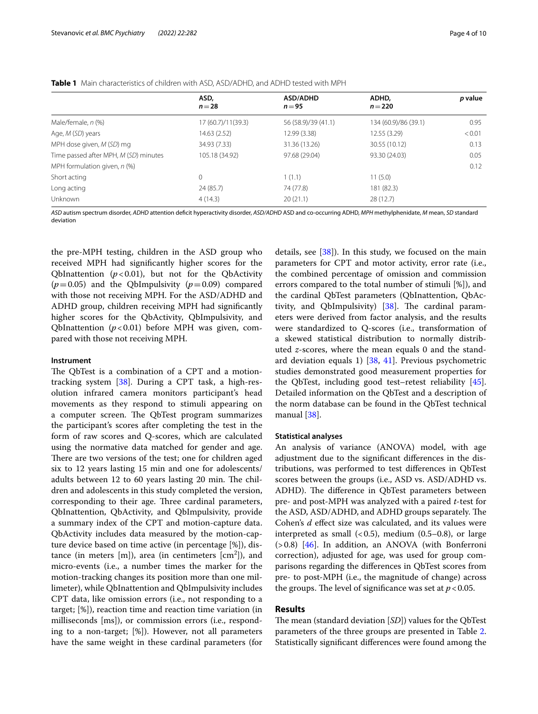<span id="page-3-0"></span>

|  | <b>Table 1</b> Main characteristics of children with ASD, ASD/ADHD, and ADHD tested with MPH |
|--|----------------------------------------------------------------------------------------------|
|--|----------------------------------------------------------------------------------------------|

|                                       | ASD,<br>$n = 28$    | <b>ASD/ADHD</b><br>$n = 95$ | ADHD,<br>$n = 220$   | p value |
|---------------------------------------|---------------------|-----------------------------|----------------------|---------|
|                                       |                     |                             |                      |         |
| Male/female, n (%)                    | 17 (60.7)/11 (39.3) | 56 (58.9)/39 (41.1)         | 134 (60.9)/86 (39.1) | 0.95    |
| Age, M (SD) years                     | 14.63 (2.52)        | 12.99 (3.38)                | 12.55 (3.29)         | < 0.01  |
| MPH dose given, M (SD) mg             | 34.93 (7.33)        | 31.36 (13.26)               | 30.55 (10.12)        | 0.13    |
| Time passed after MPH, M (SD) minutes | 105.18 (34.92)      | 97.68 (29.04)               | 93.30 (24.03)        | 0.05    |
| MPH formulation given, $n$ (%)        |                     |                             |                      | 0.12    |
| Short acting                          | $\Omega$            | 1(1.1)                      | 11(5.0)              |         |
| Long acting                           | 24 (85.7)           | 74 (77.8)                   | 181 (82.3)           |         |
| Unknown                               | 4(14.3)             | 20(21.1)                    | 28(12.7)             |         |

*ASD* autism spectrum disorder, *ADHD* attention defcit hyperactivity disorder, *ASD/ADHD* ASD and co-occurring ADHD, *MPH* methylphenidate, *M* mean, *SD* standard deviation

the pre-MPH testing, children in the ASD group who received MPH had signifcantly higher scores for the QbInattention  $(p<0.01)$ , but not for the QbActivity  $(p=0.05)$  and the QbImpulsivity  $(p=0.09)$  compared with those not receiving MPH. For the ASD/ADHD and ADHD group, children receiving MPH had signifcantly higher scores for the QbActivity, QbImpulsivity, and QbInattention  $(p<0.01)$  before MPH was given, compared with those not receiving MPH.

# **Instrument**

The QbTest is a combination of a CPT and a motiontracking system [[38](#page-8-29)]. During a CPT task, a high-resolution infrared camera monitors participant's head movements as they respond to stimuli appearing on a computer screen. The QbTest program summarizes the participant's scores after completing the test in the form of raw scores and Q-scores, which are calculated using the normative data matched for gender and age. There are two versions of the test; one for children aged six to 12 years lasting 15 min and one for adolescents/ adults between 12 to 60 years lasting 20 min. The children and adolescents in this study completed the version, corresponding to their age. Three cardinal parameters, QbInattention, QbActivity, and QbImpulsivity, provide a summary index of the CPT and motion-capture data. QbActivity includes data measured by the motion-capture device based on time active (in percentage [%]), distance (in meters  $[m]$ ), area (in centimeters  $[cm^2]$ ), and micro-events (i.e., a number times the marker for the motion-tracking changes its position more than one millimeter), while QbInattention and QbImpulsivity includes CPT data, like omission errors (i.e., not responding to a target; [%]), reaction time and reaction time variation (in milliseconds [ms]), or commission errors (i.e., responding to a non-target; [%]). However, not all parameters have the same weight in these cardinal parameters (for

details, see [[38\]](#page-8-29)). In this study, we focused on the main parameters for CPT and motor activity, error rate (i.e., the combined percentage of omission and commission errors compared to the total number of stimuli [%]), and the cardinal QbTest parameters (QbInattention, QbActivity, and QbImpulsivity)  $[38]$  $[38]$ . The cardinal parameters were derived from factor analysis, and the results were standardized to Q-scores (i.e., transformation of a skewed statistical distribution to normally distributed *z*-scores, where the mean equals 0 and the standard deviation equals 1) [[38,](#page-8-29) [41\]](#page-9-0). Previous psychometric studies demonstrated good measurement properties for the QbTest, including good test–retest reliability [\[45](#page-9-4)]. Detailed information on the QbTest and a description of the norm database can be found in the QbTest technical manual [[38\]](#page-8-29).

## **Statistical analyses**

An analysis of variance (ANOVA) model, with age adjustment due to the signifcant diferences in the distributions, was performed to test diferences in QbTest scores between the groups (i.e., ASD vs. ASD/ADHD vs. ADHD). The difference in QbTest parameters between pre- and post-MPH was analyzed with a paired *t*-test for the ASD, ASD/ADHD, and ADHD groups separately. The Cohen's *d* effect size was calculated, and its values were interpreted as small  $(0.5)$ , medium  $(0.5-0.8)$ , or large  $(>0.8)$  [[46\]](#page-9-5). In addition, an ANOVA (with Bonferroni correction), adjusted for age, was used for group comparisons regarding the diferences in QbTest scores from pre- to post-MPH (i.e., the magnitude of change) across the groups. The level of significance was set at  $p < 0.05$ .

# **Results**

The mean (standard deviation [*SD*]) values for the QbTest parameters of the three groups are presented in Table [2](#page-4-0). Statistically signifcant diferences were found among the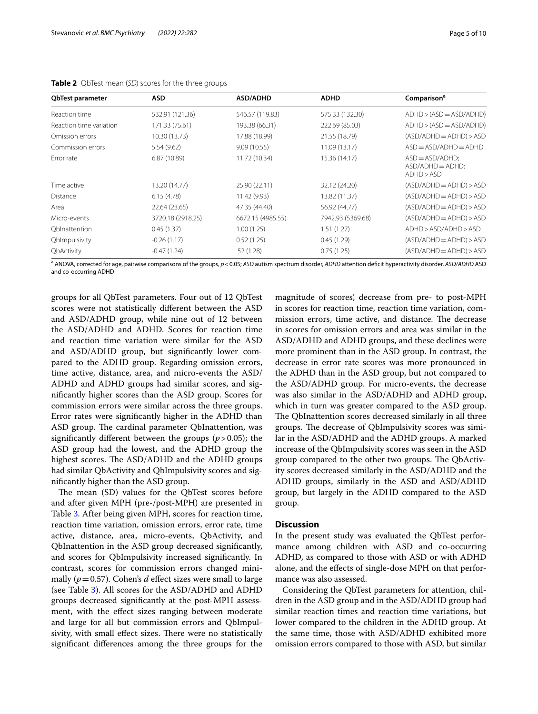| <b>QbTest parameter</b> | ASD.              | <b>ASD/ADHD</b>   | <b>ADHD</b>       | Comparison <sup>a</sup>                               |
|-------------------------|-------------------|-------------------|-------------------|-------------------------------------------------------|
| Reaction time           | 532.91 (121.36)   | 546.57 (119.83)   | 575.33 (132.30)   | $ADHD > (ASD = ASD/ADHD)$                             |
| Reaction time variation | 171.33 (75.61)    | 193.38 (66.31)    | 222.69 (85.03)    | $ADHD > (ASD = ASD/ADHD)$                             |
| Omission errors         | 10.30 (13.73)     | 17.88 (18.99)     | 21.55 (18.79)     | $(ASD/ADHD = ADHD) > ASD$                             |
| Commission errors       | 5.54 (9.62)       | 9.09(10.55)       | 11.09 (13.17)     | $ASD = ASD/ADHD = ADHD$                               |
| Error rate              | 6.87(10.89)       | 11.72 (10.34)     | 15.36 (14.17)     | $ASD = ASD/ADHD;$<br>$ASD/ADHD = ADHD;$<br>ADHD > ASD |
| Time active             | 13.20 (14.77)     | 25.90 (22.11)     | 32.12 (24.20)     | $(ASD/ADHD = ADHD) > ASD$                             |
| Distance                | 6.15(4.78)        | 11.42 (9.93)      | 13.82 (11.37)     | $(ASD/ADHD = ADHD) > ASD$                             |
| Area                    | 22.64 (23.65)     | 47.35 (44.40)     | 56.92 (44.77)     | $(ASD/ADHD = ADHD) > ASD$                             |
| Micro-events            | 3720.18 (2918.25) | 6672.15 (4985.55) | 7942.93 (5369.68) | $(ASD/ADHD = ADHD) > ASD$                             |
| Oblnattention           | 0.45(1.37)        | 1.00(1.25)        | 1.51(1.27)        | ADHD > ASD/ADHD > ASD                                 |
| QbImpulsivity           | $-0.26(1.17)$     | 0.52(1.25)        | 0.45(1.29)        | $(ASD/ADHD = ADHD) > ASD$                             |
| QbActivity              | $-0.47(1.24)$     | .52 (1.28)        | 0.75(1.25)        | $(ASD/ADHD = ADHD) > ASD$                             |

<span id="page-4-0"></span>**Table 2** QbTest mean (*SD*) scores for the three groups

a ANOVA, corrected for age, pairwise comparisons of the groups, *p*<0.05; *ASD* autism spectrum disorder, *ADHD* attention defcit hyperactivity disorder, *ASD/ADHD* ASD and co-occurring ADHD

groups for all QbTest parameters. Four out of 12 QbTest scores were not statistically diferent between the ASD and ASD/ADHD group, while nine out of 12 between the ASD/ADHD and ADHD. Scores for reaction time and reaction time variation were similar for the ASD and ASD/ADHD group, but signifcantly lower compared to the ADHD group. Regarding omission errors, time active, distance, area, and micro-events the ASD/ ADHD and ADHD groups had similar scores, and signifcantly higher scores than the ASD group. Scores for commission errors were similar across the three groups. Error rates were signifcantly higher in the ADHD than ASD group. The cardinal parameter QbInattention, was signifcantly diferent between the groups (*p*>0.05); the ASD group had the lowest, and the ADHD group the highest scores. The ASD/ADHD and the ADHD groups had similar QbActivity and QbImpulsivity scores and signifcantly higher than the ASD group.

The mean (SD) values for the QbTest scores before and after given MPH (pre-/post-MPH) are presented in Table [3](#page-5-0). After being given MPH, scores for reaction time, reaction time variation, omission errors, error rate, time active, distance, area, micro-events, QbActivity, and QbInattention in the ASD group decreased signifcantly, and scores for QbImpulsivity increased signifcantly. In contrast, scores for commission errors changed minimally ( $p = 0.57$ ). Cohen's *d* effect sizes were small to large (see Table [3\)](#page-5-0). All scores for the ASD/ADHD and ADHD groups decreased signifcantly at the post-MPH assessment, with the efect sizes ranging between moderate and large for all but commission errors and QbImpulsivity, with small effect sizes. There were no statistically signifcant diferences among the three groups for the

magnitude of scores', decrease from pre- to post-MPH in scores for reaction time, reaction time variation, commission errors, time active, and distance. The decrease in scores for omission errors and area was similar in the ASD/ADHD and ADHD groups, and these declines were more prominent than in the ASD group. In contrast, the decrease in error rate scores was more pronounced in the ADHD than in the ASD group, but not compared to the ASD/ADHD group. For micro-events, the decrease was also similar in the ASD/ADHD and ADHD group, which in turn was greater compared to the ASD group. The QbInattention scores decreased similarly in all three groups. The decrease of QbImpulsivity scores was similar in the ASD/ADHD and the ADHD groups. A marked increase of the QbImpulsivity scores was seen in the ASD group compared to the other two groups. The QbActivity scores decreased similarly in the ASD/ADHD and the ADHD groups, similarly in the ASD and ASD/ADHD group, but largely in the ADHD compared to the ASD group.

# **Discussion**

In the present study was evaluated the QbTest performance among children with ASD and co-occurring ADHD, as compared to those with ASD or with ADHD alone, and the efects of single-dose MPH on that performance was also assessed.

Considering the QbTest parameters for attention, children in the ASD group and in the ASD/ADHD group had similar reaction times and reaction time variations, but lower compared to the children in the ADHD group. At the same time, those with ASD/ADHD exhibited more omission errors compared to those with ASD, but similar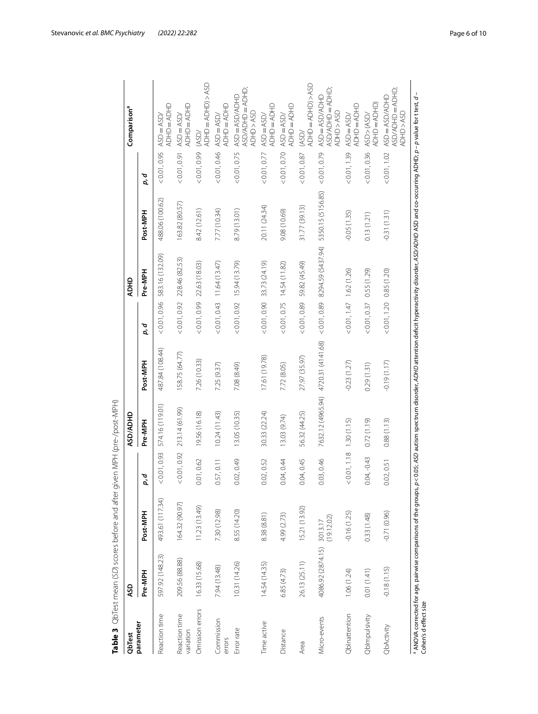<span id="page-5-0"></span>

| QbTest                     | 9SD                                                          |                       |                            | ASD/ADHD                            |                 |              | <b>ADHD</b>                  |                                                                                                                                                    |              | Comparison <sup>a</sup>                             |
|----------------------------|--------------------------------------------------------------|-----------------------|----------------------------|-------------------------------------|-----------------|--------------|------------------------------|----------------------------------------------------------------------------------------------------------------------------------------------------|--------------|-----------------------------------------------------|
| parameter                  | Pre-MPH                                                      | Post-MPH              | p, d                       | Pre-MPH                             | Post-MPH        | p, d         | Pre-MPH                      | Post-MPH                                                                                                                                           | p, d         |                                                     |
| Reaction time              | 597.92 (148.23)                                              | 493.61 (117.34)       | < 0.01, 0.93               | 574.16 (119.01)                     | 487.84 (108.44) | < 0.01, 0.96 | 583.16 (132.09)              | 488.06 (100.62)                                                                                                                                    | < 0.01, 0.95 | <b>QHO = ADHO</b><br>$ASD = ASD/$                   |
| Reaction time<br>variation | 209.56 (88.88)                                               | 164.32 (90.97)        | < 0.01, 0.92               | 213.14 (61.99)                      | 158.75 (64.77)  | < 0.01, 0.92 | 228.46 (82.53)               | 163.82 (80.57)                                                                                                                                     | < 0.01, 0.91 | QHO = ADHD<br>$ASD = ASD/$                          |
| Omission errors            | 16.33 (15.68)                                                | 11.23 (13.49)         | 0.01,0.62                  | 19.56 (16.18)                       | 7.26 (10.33)    | < 0.01, 0.99 | 22.63 (18.03)                | 8.42 (12.61)                                                                                                                                       | < 0.01, 0.99 | <b>ADHD=ADHD)&gt;ASD</b><br>(ASD)                   |
| Commission<br>errors       | 7.94 (13.48)                                                 | 7.30 (12.98)          | 0.57, 0.11                 | 10.24 (11.43)                       | 7.25 (9.37)     | < 0.01, 0.43 | 11.64(13.47)                 | 7.77 (10.34)                                                                                                                                       | < 0.01, 0.46 | <b>ADHD=ADHD</b><br>$ASD = ASD$                     |
| Error rate                 | 10.31 (14.26)                                                | 8.55 (14.20)          | 0.02, 0.49                 | 13.05 (10.35)                       | 7.08 (8.49)     |              | (13.79)                      | 8.79 (13.01)                                                                                                                                       | < 0.01, 0.75 | ASD/ADHD=ADHD<br>ASD=ASD/ADHD<br>ADHD>ASD           |
| Time active                | 14.54 (14.35)                                                | 8.38 (8.81)           | 0.02, 0.52                 | 30.33 (22.24)                       | 17.61 (19.78)   |              | $< 0.01, 0.90$ 33.73 (24.19) | 20.11 (24.34)                                                                                                                                      | < 0.01, 0.77 | <b>QHO = ADHO</b><br>$ASD = ASD/$                   |
| Distance                   | 6.85 (4.73)                                                  | 4.99 (2.73)           | 0.04, 0.44                 | 13.03 (9.74)                        | 7.72 (8.05)     | < 0.01, 0.75 | 14.54 (11.82)                | 9.08 (10.69)                                                                                                                                       | < 0.01, 0.70 | ADHD=ADHD<br>$ASD = ASD/$                           |
| Area                       | 26.13 (25.11)                                                | 15.21 (13.92)         | 0.04, 0.45                 | 56.32 (44.25)                       | 27.97 (35.97)   | < 0.01, 0.89 | 59.82 (45.49)                | 31.77 (39.13)                                                                                                                                      | < 0.01, 0.87 | <b>ADHD=ADHD)&gt;ASD</b><br>(ASD/                   |
| Micro-events               | 4086.92 (2874.15)                                            | (19.12.02)<br>3013.17 | 0.03, 0.46                 | 7632.12 (4965.94) 4720.31 (4141.68) |                 | < 0.01, 0.89 | 8294.59 (5437.94)            | 5350.15 (5156.85)                                                                                                                                  | < 0.01, 0.79 | ASD/ADHD = ADHD;<br>ASD=ASD/ADHD<br>ADHD>ASD        |
| ObInattention              | 1.06(1.24)                                                   | $-0.16(1.25)$         | $< 0.01, 1.18$ 1.30 (1.15) |                                     | $-0.23(1.27)$   | (1.62(1.26)) |                              | $-0.05(1.35)$                                                                                                                                      | < 0.01, 1.39 | QHO=ADHO<br>$ASD = ASD/$                            |
| QbImpulsivity              | 0.01(1.41)                                                   | 0.33(1.48)            | $0.04, -0.43$              | 0.72(1.19)                          | 0.29(1.31)      | < 0.01, 0.37 | $(62.1)$ 55 $(1.29)$         | 0.13(1.21)                                                                                                                                         | < 0.01, 0.36 | (QHO = ADHO<br>ASD > (ASD)                          |
| QbActivity                 | $-0.18(1.15)$                                                | $-0.71(0.96)$         | 0.02, 0.51                 | 0.88(1.13)                          | $-0.19(1.17)$   | < 0.01, 1.20 | 0.85(1.20)                   | $-0.31(1.31)$                                                                                                                                      | < 0.01, 1.02 | ASD/ADHD=ADHD<br>ASD=ASD/ADHD<br><b>ADHO&gt;ASD</b> |
| Cohen's deffect size       | ANOVA corrected for age, pairwise comparisons of the groups, |                       |                            |                                     |                 |              |                              | p<0.05; ASD autism spectrum disorder, ADHD attention deficit hyperactivity disorder. ASD/ADHD ASD and co-occurring ADHD; p – p value for t test, d |              |                                                     |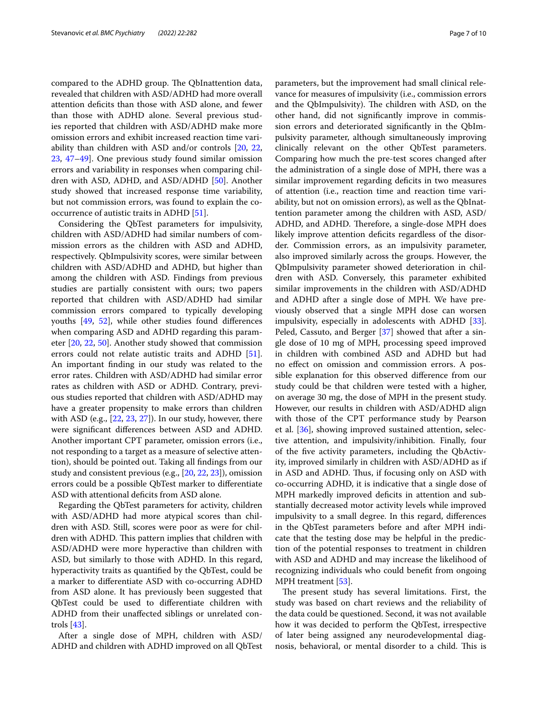compared to the ADHD group. The QbInattention data, revealed that children with ASD/ADHD had more overall attention defcits than those with ASD alone, and fewer than those with ADHD alone. Several previous studies reported that children with ASD/ADHD make more omission errors and exhibit increased reaction time variability than children with ASD and/or controls [[20](#page-8-14), [22](#page-8-16), [23,](#page-8-17) [47](#page-9-6)[–49](#page-9-7)]. One previous study found similar omission errors and variability in responses when comparing children with ASD, ADHD, and ASD/ADHD [\[50](#page-9-8)]. Another study showed that increased response time variability, but not commission errors, was found to explain the cooccurrence of autistic traits in ADHD [[51](#page-9-9)].

Considering the QbTest parameters for impulsivity, children with ASD/ADHD had similar numbers of commission errors as the children with ASD and ADHD, respectively. QbImpulsivity scores, were similar between children with ASD/ADHD and ADHD, but higher than among the children with ASD. Findings from previous studies are partially consistent with ours; two papers reported that children with ASD/ADHD had similar commission errors compared to typically developing youths [\[49](#page-9-7), [52](#page-9-10)], while other studies found diferences when comparing ASD and ADHD regarding this parameter [[20](#page-8-14), [22](#page-8-16), [50](#page-9-8)]. Another study showed that commission errors could not relate autistic traits and ADHD [\[51](#page-9-9)]. An important fnding in our study was related to the error rates. Children with ASD/ADHD had similar error rates as children with ASD or ADHD. Contrary, previous studies reported that children with ASD/ADHD may have a greater propensity to make errors than children with ASD (e.g., [[22,](#page-8-16) [23](#page-8-17), [27](#page-8-21)]). In our study, however, there were signifcant diferences between ASD and ADHD. Another important CPT parameter, omission errors (i.e., not responding to a target as a measure of selective attention), should be pointed out. Taking all fndings from our study and consistent previous (e.g., [\[20](#page-8-14), [22](#page-8-16), [23\]](#page-8-17)), omission errors could be a possible QbTest marker to diferentiate ASD with attentional deficits from ASD alone.

Regarding the QbTest parameters for activity, children with ASD/ADHD had more atypical scores than children with ASD. Still, scores were poor as were for children with ADHD. This pattern implies that children with ASD/ADHD were more hyperactive than children with ASD, but similarly to those with ADHD. In this regard, hyperactivity traits as quantifed by the QbTest, could be a marker to diferentiate ASD with co-occurring ADHD from ASD alone. It has previously been suggested that QbTest could be used to diferentiate children with ADHD from their unafected siblings or unrelated controls [[43\]](#page-9-2).

After a single dose of MPH, children with ASD/ ADHD and children with ADHD improved on all QbTest parameters, but the improvement had small clinical relevance for measures of impulsivity (i.e., commission errors and the QbImpulsivity). The children with ASD, on the other hand, did not signifcantly improve in commission errors and deteriorated signifcantly in the QbImpulsivity parameter, although simultaneously improving clinically relevant on the other QbTest parameters. Comparing how much the pre-test scores changed after the administration of a single dose of MPH, there was a similar improvement regarding deficits in two measures of attention (i.e., reaction time and reaction time variability, but not on omission errors), as well as the QbInattention parameter among the children with ASD, ASD/ ADHD, and ADHD. Therefore, a single-dose MPH does likely improve attention deficits regardless of the disorder. Commission errors, as an impulsivity parameter, also improved similarly across the groups. However, the QbImpulsivity parameter showed deterioration in children with ASD. Conversely, this parameter exhibited similar improvements in the children with ASD/ADHD and ADHD after a single dose of MPH. We have previously observed that a single MPH dose can worsen impulsivity, especially in adolescents with ADHD [\[33](#page-8-23)]. Peled, Cassuto, and Berger [[37\]](#page-8-28) showed that after a single dose of 10 mg of MPH, processing speed improved in children with combined ASD and ADHD but had no efect on omission and commission errors. A possible explanation for this observed diference from our study could be that children were tested with a higher, on average 30 mg, the dose of MPH in the present study. However, our results in children with ASD/ADHD align with those of the CPT performance study by Pearson et al. [[36\]](#page-8-27), showing improved sustained attention, selective attention, and impulsivity/inhibition. Finally, four of the fve activity parameters, including the QbActivity, improved similarly in children with ASD/ADHD as if in ASD and ADHD. Thus, if focusing only on ASD with co-occurring ADHD, it is indicative that a single dose of MPH markedly improved deficits in attention and substantially decreased motor activity levels while improved impulsivity to a small degree. In this regard, diferences in the QbTest parameters before and after MPH indicate that the testing dose may be helpful in the prediction of the potential responses to treatment in children with ASD and ADHD and may increase the likelihood of recognizing individuals who could beneft from ongoing MPH treatment [\[53](#page-9-11)].

The present study has several limitations. First, the study was based on chart reviews and the reliability of the data could be questioned. Second, it was not available how it was decided to perform the QbTest, irrespective of later being assigned any neurodevelopmental diagnosis, behavioral, or mental disorder to a child. This is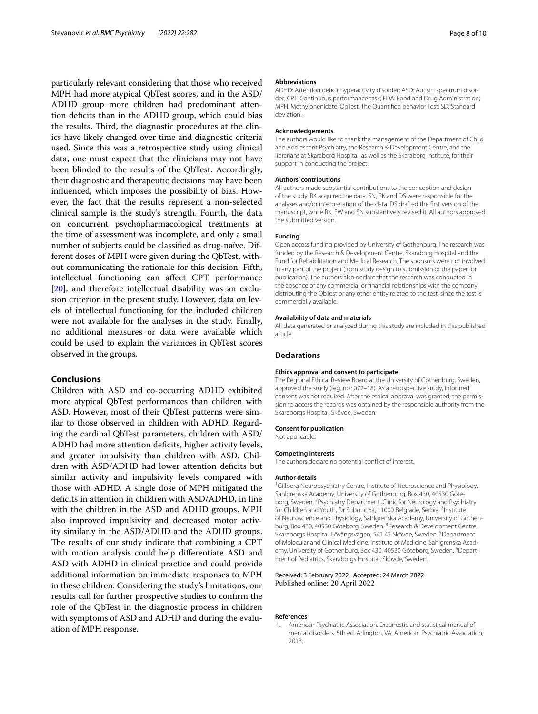particularly relevant considering that those who received MPH had more atypical QbTest scores, and in the ASD/ ADHD group more children had predominant attention defcits than in the ADHD group, which could bias the results. Third, the diagnostic procedures at the clinics have likely changed over time and diagnostic criteria used. Since this was a retrospective study using clinical data, one must expect that the clinicians may not have been blinded to the results of the QbTest. Accordingly, their diagnostic and therapeutic decisions may have been infuenced, which imposes the possibility of bias. However, the fact that the results represent a non-selected clinical sample is the study's strength. Fourth, the data on concurrent psychopharmacological treatments at the time of assessment was incomplete, and only a small number of subjects could be classifed as drug-naïve. Different doses of MPH were given during the QbTest, without communicating the rationale for this decision. Fifth, intellectual functioning can afect CPT performance [[20\]](#page-8-14), and therefore intellectual disability was an exclusion criterion in the present study. However, data on levels of intellectual functioning for the included children were not available for the analyses in the study. Finally, no additional measures or data were available which could be used to explain the variances in QbTest scores observed in the groups.

# **Conclusions**

Children with ASD and co-occurring ADHD exhibited more atypical QbTest performances than children with ASD. However, most of their QbTest patterns were similar to those observed in children with ADHD. Regarding the cardinal QbTest parameters, children with ASD/ ADHD had more attention deficits, higher activity levels, and greater impulsivity than children with ASD. Children with ASD/ADHD had lower attention deficits but similar activity and impulsivity levels compared with those with ADHD. A single dose of MPH mitigated the deficits in attention in children with ASD/ADHD, in line with the children in the ASD and ADHD groups. MPH also improved impulsivity and decreased motor activity similarly in the ASD/ADHD and the ADHD groups. The results of our study indicate that combining a CPT with motion analysis could help diferentiate ASD and ASD with ADHD in clinical practice and could provide additional information on immediate responses to MPH in these children. Considering the study's limitations, our results call for further prospective studies to confrm the role of the QbTest in the diagnostic process in children with symptoms of ASD and ADHD and during the evaluation of MPH response.

#### **Abbreviations**

ADHD: Attention deficit hyperactivity disorder; ASD: Autism spectrum disorder; CPT: Continuous performance task; FDA: Food and Drug Administration; MPH: Methylphenidate; QbTest: The Quantifed behavior Test; SD: Standard deviation.

#### **Acknowledgements**

The authors would like to thank the management of the Department of Child and Adolescent Psychiatry, the Research & Development Centre, and the librarians at Skaraborg Hospital, as well as the Skaraborg Institute, for their support in conducting the project.

#### **Authors' contributions**

All authors made substantial contributions to the conception and design of the study. RK acquired the data. SN, RK and DS were responsible for the analyses and/or interpretation of the data. DS drafted the frst version of the manuscript, while RK, EW and SN substantively revised it. All authors approved the submitted version.

#### **Funding**

Open access funding provided by University of Gothenburg. The research was funded by the Research & Development Centre, Skaraborg Hospital and the Fund for Rehabilitation and Medical Research. The sponsors were not involved in any part of the project (from study design to submission of the paper for publication). The authors also declare that the research was conducted in the absence of any commercial or fnancial relationships with the company distributing the QbTest or any other entity related to the test, since the test is commercially available.

#### **Availability of data and materials**

All data generated or analyzed during this study are included in this published article.

#### **Declarations**

#### **Ethics approval and consent to participate**

The Regional Ethical Review Board at the University of Gothenburg, Sweden, approved the study (reg. no.: 072–18). As a retrospective study, informed consent was not required. After the ethical approval was granted, the permission to access the records was obtained by the responsible authority from the Skaraborgs Hospital, Skövde, Sweden.

#### **Consent for publication**

Not applicable.

#### **Competing interests**

The authors declare no potential confict of interest.

#### **Author details**

<sup>1</sup>Gillberg Neuropsychiatry Centre, Institute of Neuroscience and Physiology, Sahlgrenska Academy, University of Gothenburg, Box 430, 40530 Göteborg, Sweden. <sup>2</sup> Psychiatry Department, Clinic for Neurology and Psychiatry for Children and Youth, Dr Subotic 6a, 11000 Belgrade, Serbia. <sup>3</sup>Institute of Neuroscience and Physiology, Sahlgrenska Academy, University of Gothenburg, Box 430, 40530 Göteborg, Sweden. <sup>4</sup>Research & Development Centre, Skaraborgs Hospital, Lövängsvägen, 541 42 Skövde, Sweden. <sup>5</sup>Department of Molecular and Clinical Medicine, Institute of Medicine, Sahlgrenska Academy, University of Gothenburg, Box 430, 40530 Göteborg, Sweden. <sup>6</sup>Department of Pediatrics, Skaraborgs Hospital, Skövde, Sweden.

## Received: 3 February 2022 Accepted: 24 March 2022 Published online: 20 April 2022

#### **References**

<span id="page-7-0"></span>1. American Psychiatric Association. Diagnostic and statistical manual of mental disorders. 5th ed. Arlington, VA: American Psychiatric Association; 2013.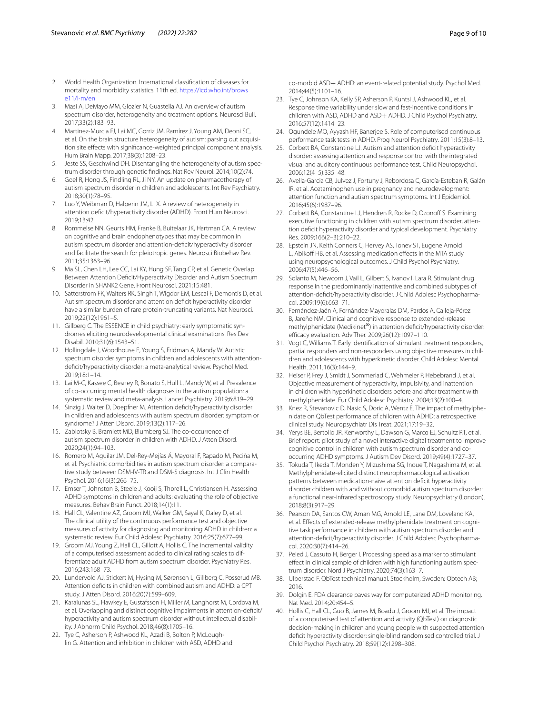- <span id="page-8-0"></span>2. World Health Organization. International classifcation of diseases for mortality and morbidity statistics. 11th ed. [https://icd.who.int/brows](https://icd.who.int/browse11/l-m/en) [e11/l-m/en](https://icd.who.int/browse11/l-m/en)
- <span id="page-8-1"></span>3. Masi A, DeMayo MM, Glozier N, Guastella AJ. An overview of autism spectrum disorder, heterogeneity and treatment options. Neurosci Bull. 2017;33(2):183–93.
- 4. Martinez-Murcia FJ, Lai MC, Gorriz JM, Ramírez J, Young AM, Deoni SC, et al. On the brain structure heterogeneity of autism: parsing out acquisition site effects with significance-weighted principal component analysis. Hum Brain Mapp. 2017;38(3):1208–23.
- 5. Jeste SS, Geschwind DH. Disentangling the heterogeneity of autism spectrum disorder through genetic fndings. Nat Rev Neurol. 2014;10(2):74.
- 6. Goel R, Hong JS, Findling RL, Ji NY. An update on pharmacotherapy of autism spectrum disorder in children and adolescents. Int Rev Psychiatry. 2018;30(1):78–95.
- <span id="page-8-2"></span>7. Luo Y, Weibman D, Halperin JM, Li X. A review of heterogeneity in attention defcit/hyperactivity disorder (ADHD). Front Hum Neurosci. 2019;13:42.
- <span id="page-8-3"></span>8. Rommelse NN, Geurts HM, Franke B, Buitelaar JK, Hartman CA. A review on cognitive and brain endophenotypes that may be common in autism spectrum disorder and attention-defcit/hyperactivity disorder and facilitate the search for pleiotropic genes. Neurosci Biobehav Rev. 2011;35:1363–96.
- 9. Ma SL, Chen LH, Lee CC, Lai KY, Hung SF, Tang CP, et al. Genetic Overlap Between Attention Deficit/Hyperactivity Disorder and Autism Spectrum Disorder in SHANK2 Gene. Front Neurosci. 2021;15:481.
- <span id="page-8-4"></span>10. Satterstrom FK, Walters RK, Singh T, Wigdor EM, Lescai F, Demontis D, et al. Autism spectrum disorder and attention defcit hyperactivity disorder have a similar burden of rare protein-truncating variants. Nat Neurosci. 2019;22(12):1961–5.
- <span id="page-8-5"></span>11. Gillberg C. The ESSENCE in child psychiatry: early symptomatic syndromes eliciting neurodevelopmental clinical examinations. Res Dev Disabil. 2010;31(6):1543–51.
- <span id="page-8-6"></span>12. Hollingdale J, Woodhouse E, Young S, Fridman A, Mandy W. Autistic spectrum disorder symptoms in children and adolescents with attentiondefcit/hyperactivity disorder: a meta-analytical review. Psychol Med. 2019;18:1–14.
- <span id="page-8-7"></span>13. Lai M-C, Kassee C, Besney R, Bonato S, Hull L, Mandy W, et al. Prevalence of co-occurring mental health diagnoses in the autism population: a systematic review and meta-analysis. Lancet Psychiatry. 2019;6:819–29.
- <span id="page-8-8"></span>14. Sinzig J, Walter D, Doepfner M. Attention defcit/hyperactivity disorder in children and adolescents with autism spectrum disorder: symptom or syndrome? J Atten Disord. 2019;13(2):117–26.
- <span id="page-8-9"></span>15. Zablotsky B, Bramlett MD, Blumberg SJ. The co-occurrence of autism spectrum disorder in children with ADHD. J Atten Disord. 2020;24(1):94–103.
- <span id="page-8-10"></span>16. Romero M, Aguilar JM, Del-Rey-Mejías Á, Mayoral F, Rapado M, Peciña M, et al. Psychiatric comorbidities in autism spectrum disorder: a comparative study between DSM-IV-TR and DSM-5 diagnosis. Int J Clin Health Psychol. 2016;16(3):266–75.
- <span id="page-8-11"></span>17. Emser T, Johnston B, Steele J, Kooij S, Thorell L, Christiansen H. Assessing ADHD symptoms in children and adults: evaluating the role of objective measures. Behav Brain Funct. 2018;14(1):11.
- <span id="page-8-12"></span>18. Hall CL, Valentine AZ, Groom MJ, Walker GM, Sayal K, Daley D, et al. The clinical utility of the continuous performance test and objective measures of activity for diagnosing and monitoring ADHD in children: a systematic review. Eur Child Adolesc Psychiatry. 2016;25(7):677–99.
- <span id="page-8-13"></span>19. Groom MJ, Young Z, Hall CL, Gillott A, Hollis C. The incremental validity of a computerised assessment added to clinical rating scales to differentiate adult ADHD from autism spectrum disorder. Psychiatry Res. 2016;243:168–73.
- <span id="page-8-14"></span>20. Lundervold AJ, Stickert M, Hysing M, Sørensen L, Gillberg C, Posserud MB. Attention defcits in children with combined autism and ADHD: a CPT study. J Atten Disord. 2016;20(7):599–609.
- <span id="page-8-15"></span>21. Karalunas SL, Hawkey E, Gustafsson H, Miller M, Langhorst M, Cordova M, et al. Overlapping and distinct cognitive impairments in attention-defcit/ hyperactivity and autism spectrum disorder without intellectual disability. J Abnorm Child Psychol. 2018;46(8):1705–16.
- <span id="page-8-16"></span>22. Tye C, Asherson P, Ashwood KL, Azadi B, Bolton P, McLoughlin G. Attention and inhibition in children with ASD, ADHD and

co-morbid ASD+ ADHD: an event-related potential study. Psychol Med. 2014;44(5):1101–16.

- <span id="page-8-17"></span>23. Tye C, Johnson KA, Kelly SP, Asherson P, Kuntsi J, Ashwood KL, et al. Response time variability under slow and fast-incentive conditions in children with ASD, ADHD and ASD+ ADHD. J Child Psychol Psychiatry. 2016;57(12):1414–23.
- <span id="page-8-18"></span>24. Ogundele MO, Ayyash HF, Banerjee S. Role of computerised continuous performance task tests in ADHD. Prog Neurol Psychiatry. 2011;15(3):8–13.
- <span id="page-8-19"></span>25. Corbett BA, Constantine LJ. Autism and attention defcit hyperactivity disorder: assessing attention and response control with the integrated visual and auditory continuous performance test. Child Neuropsychol. 2006;12(4–5):335–48.
- <span id="page-8-20"></span>26. Avella-Garcia CB, Julvez J, Fortuny J, Rebordosa C, García-Esteban R, Galán IR, et al. Acetaminophen use in pregnancy and neurodevelopment: attention function and autism spectrum symptoms. Int J Epidemiol. 2016;45(6):1987–96.
- <span id="page-8-21"></span>27. Corbett BA, Constantine LJ, Hendren R, Rocke D, Ozonoff S. Examining executive functioning in children with autism spectrum disorder, attention defcit hyperactivity disorder and typical development. Psychiatry Res. 2009;166(2–3):210–22.
- <span id="page-8-22"></span>28. Epstein JN, Keith Conners C, Hervey AS, Tonev ST, Eugene Arnold L, Abikoff HB, et al. Assessing medication effects in the MTA study using neuropsychological outcomes. J Child Psychol Psychiatry. 2006;47(5):446–56.
- 29. Solanto M, Newcorn J, Vail L, Gilbert S, Ivanov I, Lara R. Stimulant drug response in the predominantly inattentive and combined subtypes of attention-defcit/hyperactivity disorder. J Child Adolesc Psychopharmacol. 2009;19(6):663–71.
- 30. Fernández-Jaén A, Fernández-Mayoralas DM, Pardos A, Calleja-Pérez B, Jareño NM. Clinical and cognitive response to extended-release methylphenidate (Medikinet<sup>®</sup>) in attention deficit/hyperactivity disorder: efficacy evaluation. Adv Ther. 2009;26(12):1097-110.
- <span id="page-8-24"></span>31. Vogt C, Williams T. Early identifcation of stimulant treatment responders, partial responders and non-responders using objective measures in children and adolescents with hyperkinetic disorder. Child Adolesc Mental Health. 2011;16(3):144–9.
- 32. Heiser P, Frey J, Smidt J, Sommerlad C, Wehmeier P, Hebebrand J, et al. Objective measurement of hyperactivity, impulsivity, and inattention in children with hyperkinetic disorders before and after treatment with methylphenidate. Eur Child Adolesc Psychiatry. 2004;13(2):100–4.
- <span id="page-8-23"></span>33. Knez R, Stevanovic D, Nasic S, Doric A, Wentz E. The impact of methylphenidate on QbTest performance of children with ADHD: a retrospective clinical study. Neuropsychiatr Dis Treat. 2021;17:19–32.
- <span id="page-8-25"></span>34. Yerys BE, Bertollo JR, Kenworthy L, Dawson G, Marco EJ, Schultz RT, et al. Brief report: pilot study of a novel interactive digital treatment to improve cognitive control in children with autism spectrum disorder and cooccurring ADHD symptoms. J Autism Dev Disord. 2019;49(4):1727–37.
- <span id="page-8-26"></span>35. Tokuda T, Ikeda T, Monden Y, Mizushima SG, Inoue T, Nagashima M, et al. Methylphenidate-elicited distinct neuropharmacological activation patterns between medication-naive attention defcit hyperactivity disorder children with and without comorbid autism spectrum disorder: a functional near-infrared spectroscopy study. Neuropsychiatry (London). 2018;8(3):917–29.
- <span id="page-8-27"></span>36. Pearson DA, Santos CW, Aman MG, Arnold LE, Lane DM, Loveland KA, et al. Efects of extended-release methylphenidate treatment on cognitive task performance in children with autism spectrum disorder and attention-defcit/hyperactivity disorder. J Child Adolesc Psychopharmacol. 2020;30(7):414–26.
- <span id="page-8-28"></span>37. Peled J, Cassuto H, Berger I. Processing speed as a marker to stimulant efect in clinical sample of children with high functioning autism spectrum disorder. Nord J Psychiatry. 2020;74(3):163–7.
- <span id="page-8-29"></span>38. Ulberstad F. QbTest technical manual. Stockholm, Sweden: Qbtech AB; 2016.
- <span id="page-8-30"></span>39. Dolgin E. FDA clearance paves way for computerized ADHD monitoring. Nat Med. 2014;20:454–5.
- <span id="page-8-31"></span>40. Hollis C, Hall CL, Guo B, James M, Boadu J, Groom MJ, et al. The impact of a computerised test of attention and activity (QbTest) on diagnostic decision-making in children and young people with suspected attention defcit hyperactivity disorder: single-blind randomised controlled trial. J Child Psychol Psychiatry. 2018;59(12):1298–308.